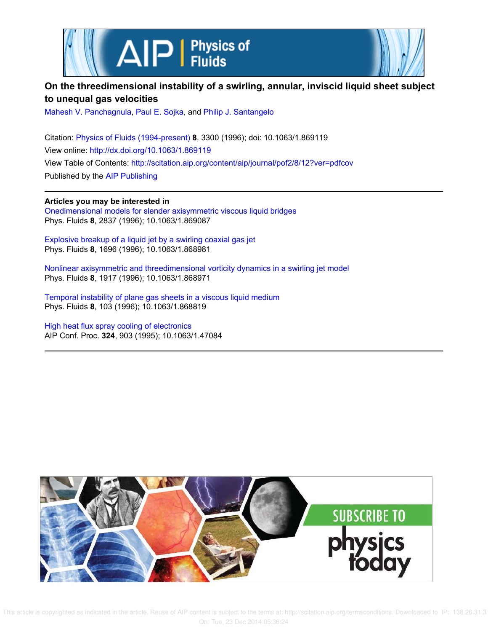

| On the threedimensional instability of a swirling, annular, inviscid liquid sheet subject |  |  |
|-------------------------------------------------------------------------------------------|--|--|
| to unequal gas velocities                                                                 |  |  |

Mahesh V. Panchagnula, Paul E. Sojka, and Philip J. Santangelo

Citation: Physics of Fluids (1994-present) **8**, 3300 (1996); doi: 10.1063/1.869119 View online: http://dx.doi.org/10.1063/1.869119 View Table of Contents: http://scitation.aip.org/content/aip/journal/pof2/8/12?ver=pdfcov Published by the AIP Publishing

**Articles you may be interested in** Onedimensional models for slender axisymmetric viscous liquid bridges Phys. Fluids **8**, 2837 (1996); 10.1063/1.869087

Explosive breakup of a liquid jet by a swirling coaxial gas jet Phys. Fluids **8**, 1696 (1996); 10.1063/1.868981

Nonlinear axisymmetric and threedimensional vorticity dynamics in a swirling jet model Phys. Fluids **8**, 1917 (1996); 10.1063/1.868971

Temporal instability of plane gas sheets in a viscous liquid medium Phys. Fluids **8**, 103 (1996); 10.1063/1.868819

High heat flux spray cooling of electronics AIP Conf. Proc. **324**, 903 (1995); 10.1063/1.47084

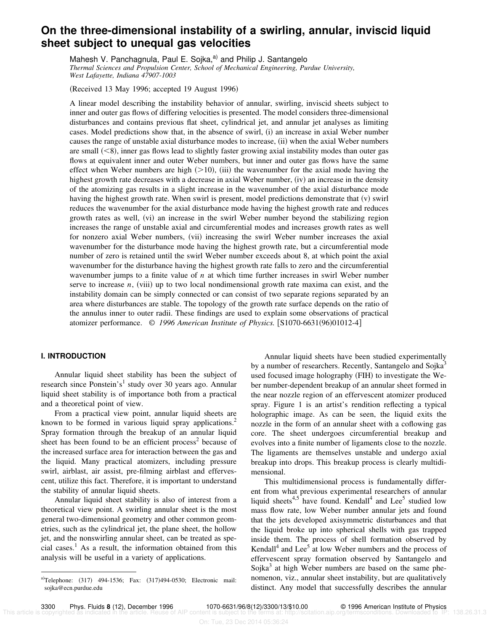# **On the three-dimensional instability of a swirling, annular, inviscid liquid sheet subject to unequal gas velocities**

Mahesh V. Panchagnula, Paul E. Sojka,<sup>a)</sup> and Philip J. Santangelo *Thermal Sciences and Propulsion Center, School of Mechanical Engineering, Purdue University, West Lafayette, Indiana 47907-1003*

 $(Received 13 May 1996; accepted 19 August 1996)$ 

A linear model describing the instability behavior of annular, swirling, inviscid sheets subject to inner and outer gas flows of differing velocities is presented. The model considers three-dimensional disturbances and contains previous flat sheet, cylindrical jet, and annular jet analyses as limiting cases. Model predictions show that, in the absence of swirl, (i) an increase in axial Weber number causes the range of unstable axial disturbance modes to increase, (ii) when the axial Weber numbers are small  $( $8$ ), inner gas flows lead to slightly faster growing axial instability modes than outer gas$ flows at equivalent inner and outer Weber numbers, but inner and outer gas flows have the same effect when Weber numbers are high  $(>10)$ , (iii) the wavenumber for the axial mode having the highest growth rate decreases with a decrease in axial Weber number,  $(iv)$  an increase in the density of the atomizing gas results in a slight increase in the wavenumber of the axial disturbance mode having the highest growth rate. When swirl is present, model predictions demonstrate that  $(v)$  swirl reduces the wavenumber for the axial disturbance mode having the highest growth rate and reduces growth rates as well, (vi) an increase in the swirl Weber number beyond the stabilizing region increases the range of unstable axial and circumferential modes and increases growth rates as well for nonzero axial Weber numbers, (vii) increasing the swirl Weber number increases the axial wavenumber for the disturbance mode having the highest growth rate, but a circumferential mode number of zero is retained until the swirl Weber number exceeds about 8, at which point the axial wavenumber for the disturbance having the highest growth rate falls to zero and the circumferential wavenumber jumps to a finite value of *n* at which time further increases in swirl Weber number serve to increase  $n$ , (viii) up to two local nondimensional growth rate maxima can exist, and the instability domain can be simply connected or can consist of two separate regions separated by an area where disturbances are stable. The topology of the growth rate surface depends on the ratio of the annulus inner to outer radii. These findings are used to explain some observations of practical atomizer performance. © 1996 American Institute of Physics. [S1070-6631(96)01012-4]

## **I. INTRODUCTION**

Annular liquid sheet stability has been the subject of research since Ponstein's<sup>1</sup> study over 30 years ago. Annular liquid sheet stability is of importance both from a practical and a theoretical point of view.

From a practical view point, annular liquid sheets are known to be formed in various liquid spray applications.<sup>2</sup> Spray formation through the breakup of an annular liquid sheet has been found to be an efficient process<sup>2</sup> because of the increased surface area for interaction between the gas and the liquid. Many practical atomizers, including pressure swirl, airblast, air assist, pre-filming airblast and effervescent, utilize this fact. Therefore, it is important to understand the stability of annular liquid sheets.

Annular liquid sheet stability is also of interest from a theoretical view point. A swirling annular sheet is the most general two-dimensional geometry and other common geometries, such as the cylindrical jet, the plane sheet, the hollow jet, and the nonswirling annular sheet, can be treated as special cases.<sup>1</sup> As a result, the information obtained from this analysis will be useful in a variety of applications.

Annular liquid sheets have been studied experimentally by a number of researchers. Recently, Santangelo and Sojka<sup>3</sup> used focused image holography (FIH) to investigate the Weber number-dependent breakup of an annular sheet formed in the near nozzle region of an effervescent atomizer produced spray. Figure 1 is an artist's rendition reflecting a typical holographic image. As can be seen, the liquid exits the nozzle in the form of an annular sheet with a coflowing gas core. The sheet undergoes circumferential breakup and evolves into a finite number of ligaments close to the nozzle. The ligaments are themselves unstable and undergo axial breakup into drops. This breakup process is clearly multidimensional.

This multidimensional process is fundamentally different from what previous experimental researchers of annular liquid sheets<sup>4,5</sup> have found. Kendall<sup>4</sup> and Lee<sup>5</sup> studied low mass flow rate, low Weber number annular jets and found that the jets developed axisymmetric disturbances and that the liquid broke up into spherical shells with gas trapped inside them. The process of shell formation observed by Kendall<sup>4</sup> and Lee<sup>5</sup> at low Weber numbers and the process of effervescent spray formation observed by Santangelo and Sojka<sup>3</sup> at high Weber numbers are based on the same phenomenon, viz., annular sheet instability, but are qualitatively distinct. Any model that successfully describes the annular

a)Telephone:  $(317)$  494-1536; Fax:  $(317)$ 494-0530; Electronic mail: sojka@ecn.purdue.edu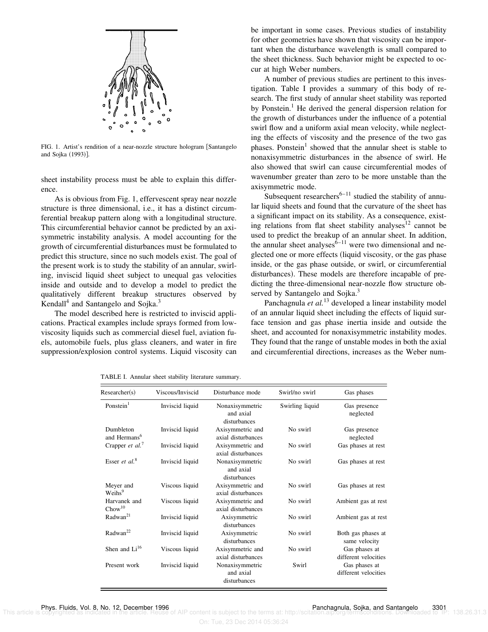

FIG. 1. Artist's rendition of a near-nozzle structure hologram [Santangelo and Sojka (1993)].

sheet instability process must be able to explain this difference.

As is obvious from Fig. 1, effervescent spray near nozzle structure is three dimensional, i.e., it has a distinct circumferential breakup pattern along with a longitudinal structure. This circumferential behavior cannot be predicted by an axisymmetric instability analysis. A model accounting for the growth of circumferential disturbances must be formulated to predict this structure, since no such models exist. The goal of the present work is to study the stability of an annular, swirling, inviscid liquid sheet subject to unequal gas velocities inside and outside and to develop a model to predict the qualitatively different breakup structures observed by Kendall<sup>4</sup> and Santangelo and Sojka.<sup>3</sup>

The model described here is restricted to inviscid applications. Practical examples include sprays formed from lowviscosity liquids such as commercial diesel fuel, aviation fuels, automobile fuels, plus glass cleaners, and water in fire suppression/explosion control systems. Liquid viscosity can be important in some cases. Previous studies of instability for other geometries have shown that viscosity can be important when the disturbance wavelength is small compared to the sheet thickness. Such behavior might be expected to occur at high Weber numbers.

A number of previous studies are pertinent to this investigation. Table I provides a summary of this body of research. The first study of annular sheet stability was reported by Ponstein.<sup>1</sup> He derived the general dispersion relation for the growth of disturbances under the influence of a potential swirl flow and a uniform axial mean velocity, while neglecting the effects of viscosity and the presence of the two gas phases. Ponstein<sup>1</sup> showed that the annular sheet is stable to nonaxisymmetric disturbances in the absence of swirl. He also showed that swirl can cause circumferential modes of wavenumber greater than zero to be more unstable than the axisymmetric mode.

Subsequent researchers<sup>6–11</sup> studied the stability of annular liquid sheets and found that the curvature of the sheet has a significant impact on its stability. As a consequence, existing relations from flat sheet stability analyses<sup>12</sup> cannot be used to predict the breakup of an annular sheet. In addition, the annular sheet analyses $\delta$ –11 were two dimensional and neglected one or more effects (liquid viscosity, or the gas phase inside, or the gas phase outside, or swirl, or circumferential disturbances). These models are therefore incapable of predicting the three-dimensional near-nozzle flow structure observed by Santangelo and Sojka.<sup>3</sup>

Panchagnula *et al.*<sup>13</sup> developed a linear instability model of an annular liquid sheet including the effects of liquid surface tension and gas phase inertia inside and outside the sheet, and accounted for nonaxisymmetric instability modes. They found that the range of unstable modes in both the axial and circumferential directions, increases as the Weber num-

TABLE I. Annular sheet stability literature summary.

| Researcher(s)                         | Viscous/Inviscid | Disturbance mode                             | Swirl/no swirl  | Gas phases                            |
|---------------------------------------|------------------|----------------------------------------------|-----------------|---------------------------------------|
| Ponstein $1$                          | Inviscid liquid  | Nonaxisymmetric<br>and axial<br>disturbances | Swirling liquid | Gas presence<br>neglected             |
| Dumbleton<br>and Hermans <sup>6</sup> | Inviscid liquid  | Axisymmetric and<br>axial disturbances       | No swirl        | Gas presence<br>neglected             |
| Crapper <i>et al.</i> <sup>7</sup>    | Inviscid liquid  | Axisymmetric and<br>axial disturbances       | No swirl        | Gas phases at rest                    |
| Esser <i>et al.</i> <sup>8</sup>      | Inviscid liquid  | Nonaxisymmetric<br>and axial<br>disturbances | No swirl        | Gas phases at rest                    |
| Meyer and<br>Weihs <sup>9</sup>       | Viscous liquid   | Axisymmetric and<br>axial disturbances       | No swirl        | Gas phases at rest                    |
| Harvanek and<br>$\mathrm{Chow}^{10}$  | Viscous liquid   | Axisymmetric and<br>axial disturbances       | No swirl        | Ambient gas at rest                   |
| Radwan <sup>21</sup>                  | Inviscid liquid  | Axisymmetric<br>disturbances                 | No swirl        | Ambient gas at rest                   |
| Radwan <sup>22</sup>                  | Inviscid liquid  | Axisymmetric<br>disturbances                 | No swirl        | Both gas phases at<br>same velocity   |
| Shen and $Li^{16}$                    | Viscous liquid   | Axisymmetric and<br>axial disturbances       | No swirl        | Gas phases at<br>different velocities |
| Present work                          | Inviscid liquid  | Nonaxisymmetric<br>and axial<br>disturbances | Swirl           | Gas phases at<br>different velocities |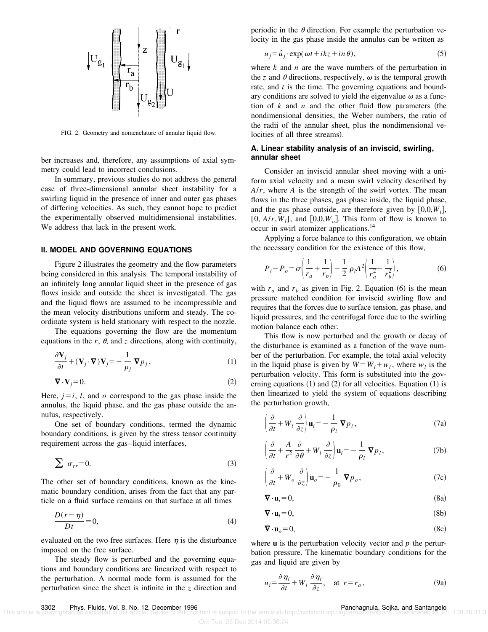

FIG. 2. Geometry and nomenclature of annular liquid flow.

ber increases and, therefore, any assumptions of axial symmetry could lead to incorrect conclusions.

In summary, previous studies do not address the general case of three-dimensional annular sheet instability for a swirling liquid in the presence of inner and outer gas phases of differing velocities. As such, they cannot hope to predict the experimentally observed multidimensional instabilities. We address that lack in the present work.

# **II. MODEL AND GOVERNING EQUATIONS**

Figure 2 illustrates the geometry and the flow parameters being considered in this analysis. The temporal instability of an infinitely long annular liquid sheet in the presence of gas flows inside and outside the sheet is investigated. The gas and the liquid flows are assumed to be incompressible and the mean velocity distributions uniform and steady. The coordinate system is held stationary with respect to the nozzle.

The equations governing the flow are the momentum equations in the  $r$ ,  $\theta$ , and  $\zeta$  directions, along with continuity,

$$
\frac{\partial \mathbf{V}_j}{\partial t} + (\mathbf{V}_j \cdot \nabla) \mathbf{V}_j = -\frac{1}{\rho_j} \mathbf{\nabla} p_j,
$$
\n(1)

$$
\nabla \cdot \mathbf{V}_j = 0. \tag{2}
$$

Here,  $j = i$ , *l*, and *o* correspond to the gas phase inside the annulus, the liquid phase, and the gas phase outside the annulus, respectively.

One set of boundary conditions, termed the dynamic boundary conditions, is given by the stress tensor continuity requirement across the gas–liquid interfaces,

$$
\sum \sigma_{rr} = 0. \tag{3}
$$

The other set of boundary conditions, known as the kinematic boundary condition, arises from the fact that any particle on a fluid surface remains on that surface at all times

$$
\frac{D(r-\eta)}{Dt} = 0,\t\t(4)
$$

evaluated on the two free surfaces. Here  $\eta$  is the disturbance imposed on the free surface.

The steady flow is perturbed and the governing equations and boundary conditions are linearized with respect to the perturbation. A normal mode form is assumed for the perturbation since the sheet is infinite in the *z* direction and periodic in the  $\theta$  direction. For example the perturbation velocity in the gas phase inside the annulus can be written as

$$
u_j = \hat{u}_j \cdot \exp(\omega t + ikz + in\theta), \tag{5}
$$

where *k* and *n* are the wave numbers of the perturbation in the *z* and  $\theta$  directions, respectively,  $\omega$  is the temporal growth rate, and *t* is the time. The governing equations and boundary conditions are solved to yield the eigenvalue  $\omega$  as a function of  $k$  and  $n$  and the other fluid flow parameters (the nondimensional densities, the Weber numbers, the ratio of the radii of the annular sheet, plus the nondimensional velocities of all three streams).

## **A. Linear stability analysis of an inviscid, swirling, annular sheet**

Consider an inviscid annular sheet moving with a uniform axial velocity and a mean swirl velocity described by *A*/*r*, where *A* is the strength of the swirl vortex. The mean flows in the three phases, gas phase inside, the liquid phase, and the gas phase outside, are therefore given by  $[0,0,W_i]$ ,  $[0, A/r, W_l]$ , and  $[0, 0, W_o]$ . This form of flow is known to occur in swirl atomizer applications.<sup>14</sup>

Applying a force balance to this configuration, we obtain the necessary condition for the existence of this flow,

$$
P_i - P_o = \sigma \left( \frac{1}{r_a} + \frac{1}{r_b} \right) - \frac{1}{2} \rho_l A^2 \left( \frac{1}{r_a^2} - \frac{1}{r_b^2} \right),\tag{6}
$$

with  $r_a$  and  $r_b$  as given in Fig. 2. Equation (6) is the mean pressure matched condition for inviscid swirling flow and requires that the forces due to surface tension, gas phase, and liquid pressures, and the centrifugal force due to the swirling motion balance each other.

This flow is now perturbed and the growth or decay of the disturbance is examined as a function of the wave number of the perturbation. For example, the total axial velocity in the liquid phase is given by  $W = W_l + w_l$ , where  $w_l$  is the perturbation velocity. This form is substituted into the governing equations  $(1)$  and  $(2)$  for all velocities. Equation  $(1)$  is then linearized to yield the system of equations describing the perturbation growth,

$$
\left(\frac{\partial}{\partial t} + W_i \frac{\partial}{\partial z}\right) \mathbf{u}_i = -\frac{1}{\rho_i} \mathbf{\nabla} p_i,
$$
\n(7a)

$$
\left(\frac{\partial}{\partial t} + \frac{A}{r^2} \frac{\partial}{\partial \theta} + W_l \frac{\partial}{\partial z}\right) \mathbf{u}_l = -\frac{1}{\rho_l} \mathbf{\nabla} p_l,
$$
\n(7b)

$$
\left(\frac{\partial}{\partial t} + W_o \frac{\partial}{\partial z}\right) \mathbf{u}_o = -\frac{1}{\rho_0} \mathbf{\nabla} p_o,
$$
\n(7c)

$$
\nabla \cdot \mathbf{u}_i = 0,\tag{8a}
$$

$$
\nabla \cdot \mathbf{u}_l = 0,\tag{8b}
$$

$$
\nabla \cdot \mathbf{u}_o = 0,\tag{8c}
$$

where **u** is the perturbation velocity vector and *p* the perturbation pressure. The kinematic boundary conditions for the gas and liquid are given by

$$
u_i = \frac{\partial \eta_i}{\partial t} + W_i \frac{\partial \eta_i}{\partial z}, \quad \text{at } r = r_a,
$$
 (9a)

. 3302 Phys. Fluids, Vol. 8, No. 12, December 1996<br>[138.26.31.3] Panchagnula, Sojka, and Santangelo<br>[138.26.31.3] Phis article is copyrighted as indicated in the article: Heuse of AIP content is subject to the terms at: ht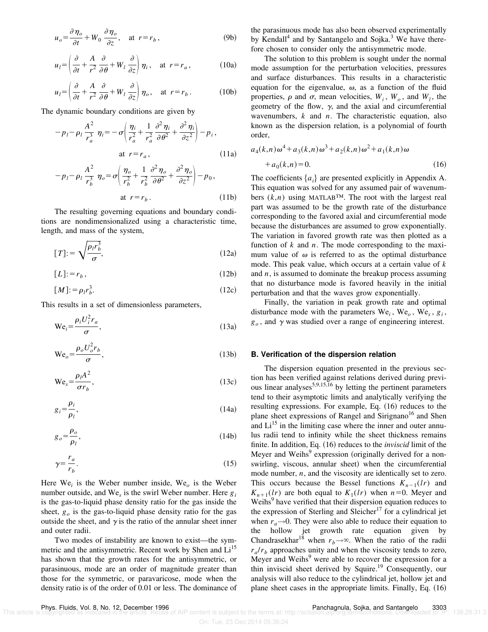$$
u_o = \frac{\partial \eta_o}{\partial t} + W_0 \frac{\partial \eta_o}{\partial z}, \quad \text{at } r = r_b,
$$
 (9b)

$$
u_{l} = \left(\frac{\partial}{\partial t} + \frac{A}{r^{2}} \frac{\partial}{\partial \theta} + W_{l} \frac{\partial}{\partial z}\right) \eta_{i}, \text{ at } r = r_{a}, \qquad (10a)
$$

$$
u_{l} = \left(\frac{\partial}{\partial t} + \frac{A}{r^{2}} \frac{\partial}{\partial \theta} + W_{l} \frac{\partial}{\partial z}\right) \eta_{o}, \text{ at } r = r_{b}. \tag{10b}
$$

The dynamic boundary conditions are given by

$$
-p_{l} - \rho_{l} \frac{A^{2}}{r_{a}^{3}} \eta_{i} = -\sigma \left( \frac{\eta_{i}}{r_{a}^{2}} + \frac{1}{r_{a}^{2}} \frac{\partial^{2} \eta_{i}}{\partial \theta^{2}} + \frac{\partial^{2} \eta_{i}}{\partial z^{2}} \right) - p_{i},
$$
  
at  $r = r_{a},$  (11a)  

$$
-p_{l} - \rho_{l} \frac{A^{2}}{\partial \theta_{i}} \eta_{i} = \sigma \left( \frac{\eta_{o}}{\partial \theta_{i}} + \frac{1}{\partial \theta_{i}} \frac{\partial^{2} \eta_{o}}{\partial \theta_{i}} + \frac{\partial^{2} \eta_{o}}{\partial \theta_{i}} \right) - p_{0},
$$

$$
-p_l - \rho_l \frac{A^2}{r_b^3} \eta_o = \sigma \left( \frac{\eta_o}{r_b^2} + \frac{1}{r_b^2} \frac{\partial^2 \eta_o}{\partial \theta^2} + \frac{\partial^2 \eta_o}{\partial z^2} \right) - p_0,
$$
  
at  $r = r_b.$  (11b)

The resulting governing equations and boundary conditions are nondimensionalized using a characteristic time, length, and mass of the system,

$$
[T] := \sqrt{\frac{\rho_l r_b^3}{\sigma}},\tag{12a}
$$

$$
[L] := r_b, \tag{12b}
$$

$$
[M] := \rho_l r_b^3. \tag{12c}
$$

This results in a set of dimensionless parameters,

$$
We_i = \frac{\rho_i U_i^2 r_a}{\sigma},\tag{13a}
$$

$$
We_o = \frac{\rho_o U_o^2 r_b}{\sigma},\tag{13b}
$$

$$
We_s = \frac{\rho_l A^2}{\sigma r_b},\tag{13c}
$$

$$
g_i = \frac{\rho_i}{\rho_l},\tag{14a}
$$

$$
g_o = \frac{\rho_o}{\rho_l},\tag{14b}
$$

$$
\gamma = \frac{r_a}{r_b}.\tag{15}
$$

Here We*<sup>i</sup>* is the Weber number inside, We*<sup>o</sup>* is the Weber number outside, and We*<sup>s</sup>* is the swirl Weber number. Here *g<sup>i</sup>* is the gas-to-liquid phase density ratio for the gas inside the sheet,  $g<sub>o</sub>$  is the gas-to-liquid phase density ratio for the gas outside the sheet, and  $\gamma$  is the ratio of the annular sheet inner and outer radii.

Two modes of instability are known to exist—the symmetric and the antisymmetric. Recent work by Shen and Li<sup>15</sup> has shown that the growth rates for the antisymmetric, or parasinuous, mode are an order of magnitude greater than those for the symmetric, or paravaricose, mode when the density ratio is of the order of 0.01 or less. The dominance of the parasinuous mode has also been observed experimentally by Kendall<sup>4</sup> and by Santangelo and Sojka.<sup>3</sup> We have therefore chosen to consider only the antisymmetric mode.

The solution to this problem is sought under the normal mode assumption for the perturbation velocities, pressures and surface disturbances. This results in a characteristic equation for the eigenvalue,  $\omega$ , as a function of the fluid properties,  $\rho$  and  $\sigma$ , mean velocities,  $W_i$ ,  $W_o$ , and  $W_l$ , the geometry of the flow,  $\gamma$ , and the axial and circumferential wavenumbers, *k* and *n*. The characteristic equation, also known as the dispersion relation, is a polynomial of fourth order,

$$
a_4(k,n)\omega^4 + a_3(k,n)\omega^3 + a_2(k,n)\omega^2 + a_1(k,n)\omega + a_0(k,n) = 0.
$$
 (16)

The coefficients  $\{a_i\}$  are presented explicitly in Appendix A. This equation was solved for any assumed pair of wavenumbers  $(k, n)$  using MATLAB<sup>TM</sup>. The root with the largest real part was assumed to be the growth rate of the disturbance corresponding to the favored axial and circumferential mode because the disturbances are assumed to grow exponentially. The variation in favored growth rate was then plotted as a function of *k* and *n*. The mode corresponding to the maximum value of  $\omega$  is referred to as the optimal disturbance mode. This peak value, which occurs at a certain value of *k* and *n*, is assumed to dominate the breakup process assuming that no disturbance mode is favored heavily in the initial perturbation and that the waves grow exponentially.

Finally, the variation in peak growth rate and optimal disturbance mode with the parameters  $We_i$ ,  $We_o$ ,  $We_s$ ,  $g_i$ ,  $g<sub>o</sub>$ , and  $\gamma$  was studied over a range of engineering interest.

## **B. Verification of the dispersion relation**

The dispersion equation presented in the previous section has been verified against relations derived during previous linear analyses<sup>5,9,15,16</sup> by letting the pertinent parameters tend to their asymptotic limits and analytically verifying the resulting expressions. For example, Eq.  $(16)$  reduces to the plane sheet expressions of Rangel and Sirignano<sup>16</sup> and Shen and  $Li<sup>15</sup>$  in the limiting case where the inner and outer annulus radii tend to infinity while the sheet thickness remains finite. In addition, Eq.  $(16)$  reduces to the *inviscid* limit of the Meyer and Weihs<sup>9</sup> expression (originally derived for a nonswirling, viscous, annular sheet) when the circumferential mode number, *n*, and the viscosity are identically set to zero. This occurs because the Bessel functions  $K_{n-1}(l)$  and  $K_{n+1}(l r)$  are both equal to  $K_1(l r)$  when  $n=0$ . Meyer and Weihs<sup>9</sup> have verified that their dispersion equation reduces to the expression of Sterling and Sleicher<sup>17</sup> for a cylindrical jet when  $r_a \rightarrow 0$ . They were also able to reduce their equation to the hollow jet growth rate equation given by Chandrasekhar<sup>18</sup> when  $r_b \rightarrow \infty$ . When the ratio of the radii  $r_a/r_b$  approaches unity and when the viscosity tends to zero, Meyer and Weihs<sup>9</sup> were able to recover the expression for a thin inviscid sheet derived by Squire.<sup>19</sup> Consequently, our analysis will also reduce to the cylindrical jet, hollow jet and plane sheet cases in the appropriate limits. Finally, Eq. (16)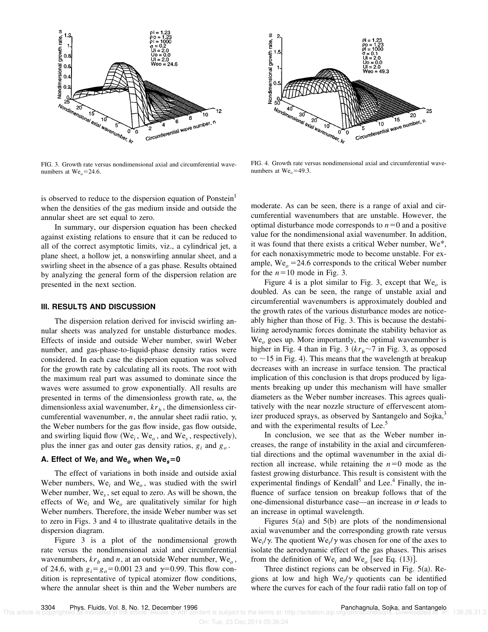

FIG. 3. Growth rate versus nondimensional axial and circumferential wavenumbers at  $We<sub>o</sub>=24.6$ .

is observed to reduce to the dispersion equation of Ponstein<sup>1</sup> when the densities of the gas medium inside and outside the annular sheet are set equal to zero.

In summary, our dispersion equation has been checked against existing relations to ensure that it can be reduced to all of the correct asymptotic limits, viz., a cylindrical jet, a plane sheet, a hollow jet, a nonswirling annular sheet, and a swirling sheet in the absence of a gas phase. Results obtained by analyzing the general form of the dispersion relation are presented in the next section.

#### **III. RESULTS AND DISCUSSION**

The dispersion relation derived for inviscid swirling annular sheets was analyzed for unstable disturbance modes. Effects of inside and outside Weber number, swirl Weber number, and gas-phase-to-liquid-phase density ratios were considered. In each case the dispersion equation was solved for the growth rate by calculating all its roots. The root with the maximum real part was assumed to dominate since the waves were assumed to grow exponentially. All results are presented in terms of the dimensionless growth rate,  $\omega$ , the dimensionless axial wavenumber, *kr<sup>b</sup>* , the dimensionless circumferential wavenumber,  $n$ , the annular sheet radii ratio,  $\gamma$ , the Weber numbers for the gas flow inside, gas flow outside, and swirling liquid flow (We<sub>i</sub>, We<sub>o</sub>, and We<sub>s</sub>, respectively), plus the inner gas and outer gas density ratios,  $g_i$  and  $g_o$ .

## **A. Effect of We**<sub>i</sub> and We<sub>o</sub> when We<sub>s</sub>=0

The effect of variations in both inside and outside axial Weber numbers, We*<sup>i</sup>* and We*<sup>o</sup>* , was studied with the swirl Weber number, We*<sup>s</sup>* , set equal to zero. As will be shown, the effects of We*<sup>i</sup>* and We*<sup>o</sup>* are qualitatively similar for high Weber numbers. Therefore, the inside Weber number was set to zero in Figs. 3 and 4 to illustrate qualitative details in the dispersion diagram.

Figure 3 is a plot of the nondimensional growth rate versus the nondimensional axial and circumferential wavenumbers,  $kr_b$  and *n*, at an outside Weber number, We<sub>o</sub>, of 24.6, with  $g_i = g_o = 0.001$  23 and  $\gamma = 0.99$ . This flow condition is representative of typical atomizer flow conditions, where the annular sheet is thin and the Weber numbers are



FIG. 4. Growth rate versus nondimensional axial and circumferential wavenumbers at  $We<sub>o</sub>=49.3$ .

moderate. As can be seen, there is a range of axial and circumferential wavenumbers that are unstable. However, the optimal disturbance mode corresponds to  $n=0$  and a positive value for the nondimensional axial wavenumber. In addition, it was found that there exists a critical Weber number, We\*, for each nonaxisymmetric mode to become unstable. For example,  $We<sub>o</sub> = 24.6$  corresponds to the critical Weber number for the  $n=10$  mode in Fig. 3.

Figure 4 is a plot similar to Fig. 3, except that  $We<sub>o</sub>$  is doubled. As can be seen, the range of unstable axial and circumferential wavenumbers is approximately doubled and the growth rates of the various disturbance modes are noticeably higher than those of Fig. 3. This is because the destabilizing aerodynamic forces dominate the stability behavior as We<sub>o</sub> goes up. More importantly, the optimal wavenumber is higher in Fig. 4 than in Fig. 3  $(kr_b \sim 7$  in Fig. 3, as opposed to  $\sim$ 15 in Fig. 4). This means that the wavelength at breakup decreases with an increase in surface tension. The practical implication of this conclusion is that drops produced by ligaments breaking up under this mechanism will have smaller diameters as the Weber number increases. This agrees qualitatively with the near nozzle structure of effervescent atomizer produced sprays, as observed by Santangelo and Sojka,<sup>3</sup> and with the experimental results of Lee.<sup>5</sup>

In conclusion, we see that as the Weber number increases, the range of instability in the axial and circumferential directions and the optimal wavenumber in the axial direction all increase, while retaining the  $n=0$  mode as the fastest growing disturbance. This result is consistent with the experimental findings of Kendall<sup>5</sup> and Lee.<sup>4</sup> Finally, the influence of surface tension on breakup follows that of the one-dimensional disturbance case—an increase in  $\sigma$  leads to an increase in optimal wavelength.

Figures  $5(a)$  and  $5(b)$  are plots of the nondimensional axial wavenumber and the corresponding growth rate versus We<sub>i</sub>/ $\gamma$ . The quotient We<sub>i</sub>/ $\gamma$  was chosen for one of the axes to isolate the aerodynamic effect of the gas phases. This arises from the definition of  $We_i$  and  $We_o$  [see Eq. (13)].

Three distinct regions can be observed in Fig.  $5(a)$ . Regions at low and high  $We_i/\gamma$  quotients can be identified where the curves for each of the four radii ratio fall on top of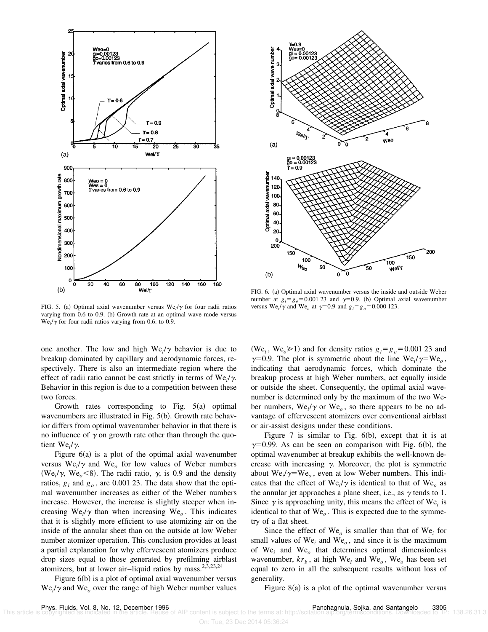

FIG. 5. (a) Optimal axial wavenumber versus  $We<sub>i</sub>/\gamma$  for four radii ratios varying from  $0.6$  to  $0.9$ . (b) Growth rate at an optimal wave mode versus  $We<sub>i</sub>/\gamma$  for four radii ratios varying from 0.6. to 0.9.

one another. The low and high  $We<sub>i</sub>/\gamma$  behavior is due to breakup dominated by capillary and aerodynamic forces, respectively. There is also an intermediate region where the effect of radii ratio cannot be cast strictly in terms of  $We<sub>i</sub>/\gamma$ . Behavior in this region is due to a competition between these two forces.

Growth rates corresponding to Fig.  $5(a)$  optimal wavenumbers are illustrated in Fig.  $5(b)$ . Growth rate behavior differs from optimal wavenumber behavior in that there is no influence of  $\gamma$  on growth rate other than through the quotient  $We_i/\gamma$ .

Figure  $6(a)$  is a plot of the optimal axial wavenumber versus  $\text{We}_i/\gamma$  and  $\text{We}_o$  for low values of Weber numbers (We<sub>i</sub>/ $\gamma$ , We<sub>o</sub> <8). The radii ratio,  $\gamma$ , is 0.9 and the density ratios,  $g_i$  and  $g_o$ , are 0.001 23. The data show that the optimal wavenumber increases as either of the Weber numbers increase. However, the increase is slightly steeper when increasing  $\text{We}_i/\gamma$  than when increasing  $\text{We}_o$ . This indicates that it is slightly more efficient to use atomizing air on the inside of the annular sheet than on the outside at low Weber number atomizer operation. This conclusion provides at least a partial explanation for why effervescent atomizers produce drop sizes equal to those generated by prefilming airblast atomizers, but at lower air-liquid ratios by mass.<sup>2,3,23,24</sup>

Figure  $6(b)$  is a plot of optimal axial wavenumber versus  $We<sub>i</sub>/\gamma$  and  $We<sub>o</sub>$  over the range of high Weber number values



FIG. 6. (a) Optimal axial wavenumber versus the inside and outside Weber number at  $g_i = g_o = 0.00123$  and  $\gamma = 0.9$ . (b) Optimal axial wavenumber versus  $\text{We}_i/\gamma$  and  $\text{We}_o$  at  $\gamma = 0.9$  and  $g_i = g_o = 0.000$  123.

 $(We_i, We_o \ge 1)$  and for density ratios  $g_i = g_o = 0.00123$  and  $\gamma=0.9$ . The plot is symmetric about the line We<sub>i</sub>/ $\gamma=We$ <sub>o</sub>, indicating that aerodynamic forces, which dominate the breakup process at high Weber numbers, act equally inside or outside the sheet. Consequently, the optimal axial wavenumber is determined only by the maximum of the two Weber numbers,  $\text{We}_i/\gamma$  or  $\text{We}_o$ , so there appears to be no advantage of effervescent atomizers over conventional airblast or air-assist designs under these conditions.

Figure 7 is similar to Fig.  $6(b)$ , except that it is at  $\gamma=0.99$ . As can be seen on comparison with Fig. 6(b), the optimal wavenumber at breakup exhibits the well-known decrease with increasing  $\gamma$ . Moreover, the plot is symmetric about  $\text{We}_i/\gamma = \text{We}_o$ , even at low Weber numbers. This indicates that the effect of  $We_i/\gamma$  is identical to that of  $We_o$  as the annular jet approaches a plane sheet, i.e., as  $\gamma$  tends to 1. Since  $\gamma$  is approaching unity, this means the effect of We<sub>i</sub> is identical to that of We*<sup>o</sup>* . This is expected due to the symmetry of a flat sheet.

Since the effect of  $We$ <sub>o</sub> is smaller than that of  $We$ <sub>i</sub> for small values of  $We<sub>i</sub>$  and  $We<sub>o</sub>$ , and since it is the maximum of We*<sup>i</sup>* and We*<sup>o</sup>* that determines optimal dimensionless wavenumber,  $kr_b$ , at high  $We_i$  and  $We_o$ ,  $We_o$  has been set equal to zero in all the subsequent results without loss of generality.

Figure  $8(a)$  is a plot of the optimal wavenumber versus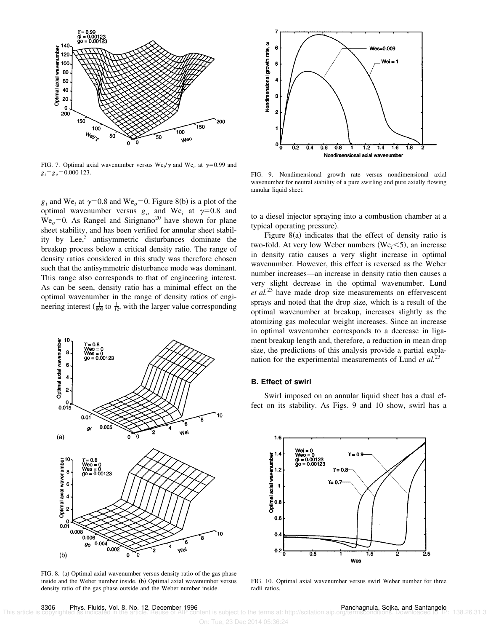

FIG. 7. Optimal axial wavenumber versus  $\text{We}_i/\gamma$  and  $\text{We}_o$  at  $\gamma=0.99$  and  $g_i = g_o = 0.000 123$ .

 $g_i$  and We<sub>i</sub> at  $\gamma=0.8$  and We<sub>o</sub>=0. Figure 8(b) is a plot of the optimal wavenumber versus  $g_o$  and We<sub>i</sub> at  $\gamma=0.8$  and  $We<sub>o</sub>=0$ . As Rangel and Sirignano<sup>20</sup> have shown for plane sheet stability, and has been verified for annular sheet stability by Lee,<sup>5</sup> antisymmetric disturbances dominate the breakup process below a critical density ratio. The range of density ratios considered in this study was therefore chosen such that the antisymmetric disturbance mode was dominant. This range also corresponds to that of engineering interest. As can be seen, density ratio has a minimal effect on the optimal wavenumber in the range of density ratios of engineering interest  $(\frac{1}{800}$  to  $\frac{1}{12}$ , with the larger value corresponding



FIG. 8. (a) Optimal axial wavenumber versus density ratio of the gas phase inside and the Weber number inside. (b) Optimal axial wavenumber versus density ratio of the gas phase outside and the Weber number inside.



FIG. 9. Nondimensional growth rate versus nondimensional axial wavenumber for neutral stability of a pure swirling and pure axially flowing annular liquid sheet.

to a diesel injector spraying into a combustion chamber at a typical operating pressure).

Figure  $8(a)$  indicates that the effect of density ratio is two-fold. At very low Weber numbers (We<sub>i</sub> $\leq$ 5), an increase in density ratio causes a very slight increase in optimal wavenumber. However, this effect is reversed as the Weber number increases—an increase in density ratio then causes a very slight decrease in the optimal wavenumber. Lund *et al.*<sup>23</sup> have made drop size measurements on effervescent sprays and noted that the drop size, which is a result of the optimal wavenumber at breakup, increases slightly as the atomizing gas molecular weight increases. Since an increase in optimal wavenumber corresponds to a decrease in ligament breakup length and, therefore, a reduction in mean drop size, the predictions of this analysis provide a partial explanation for the experimental measurements of Lund *et al.*<sup>23</sup>

# **B. Effect of swirl**

Swirl imposed on an annular liquid sheet has a dual effect on its stability. As Figs. 9 and 10 show, swirl has a



FIG. 10. Optimal axial wavenumber versus swirl Weber number for three radii ratios.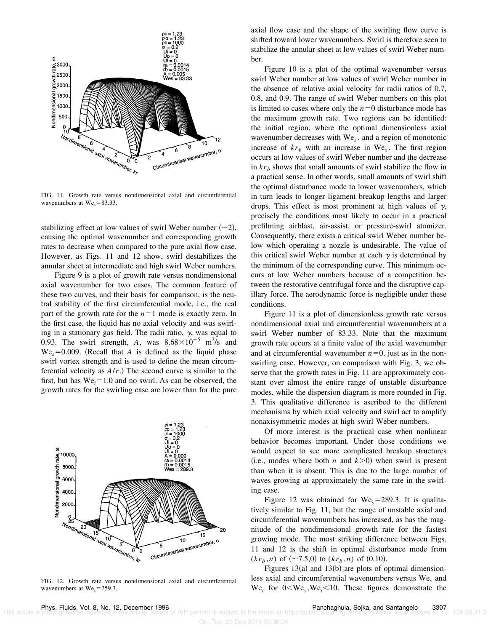

FIG. 11. Growth rate versus nondimensional axial and circumferential wavenumbers at We<sub>s</sub>=83.33.

stabilizing effect at low values of swirl Weber number  $(\sim 2)$ , causing the optimal wavenumber and corresponding growth rates to decrease when compared to the pure axial flow case. However, as Figs. 11 and 12 show, swirl destabilizes the annular sheet at intermediate and high swirl Weber numbers.

Figure 9 is a plot of growth rate versus nondimensional axial wavenumber for two cases. The common feature of these two curves, and their basis for comparison, is the neutral stability of the first circumferential mode, i.e., the real part of the growth rate for the  $n=1$  mode is exactly zero. In the first case, the liquid has no axial velocity and was swirling in a stationary gas field. The radii ratio,  $\gamma$ , was equal to 0.93. The swirl strength, A, was  $8.68 \times 10^{-5}$  m<sup>2</sup>/s and  $We<sub>s</sub>=0.009$ . (Recall that *A* is defined as the liquid phase swirl vortex strength and is used to define the mean circumferential velocity as  $A/r$ .) The second curve is similar to the first, but has  $We<sub>i</sub>=1.0$  and no swirl. As can be observed, the growth rates for the swirling case are lower than for the pure



FIG. 12. Growth rate versus nondimensional axial and circumferential wavenumbers at  $We<sub>s</sub>=259.3$ .

axial flow case and the shape of the swirling flow curve is shifted toward lower wavenumbers. Swirl is therefore seen to stabilize the annular sheet at low values of swirl Weber number.

Figure 10 is a plot of the optimal wavenumber versus swirl Weber number at low values of swirl Weber number in the absence of relative axial velocity for radii ratios of 0.7, 0.8, and 0.9. The range of swirl Weber numbers on this plot is limited to cases where only the  $n=0$  disturbance mode has the maximum growth rate. Two regions can be identified: the initial region, where the optimal dimensionless axial wavenumber decreases with We*<sup>s</sup>* , and a region of monotonic increase of  $kr_b$  with an increase in We<sub>s</sub>. The first region occurs at low values of swirl Weber number and the decrease in  $kr_b$  shows that small amounts of swirl stabilize the flow in a practical sense. In other words, small amounts of swirl shift the optimal disturbance mode to lower wavenumbers, which in turn leads to longer ligament breakup lengths and larger drops. This effect is most prominent at high values of  $\gamma$ , precisely the conditions most likely to occur in a practical prefilming airblast, air-assist, or pressure-swirl atomizer. Consequently, there exists a critical swirl Weber number below which operating a nozzle is undesirable. The value of this critical swirl Weber number at each  $\gamma$  is determined by the minimum of the corresponding curve. This minimum occurs at low Weber numbers because of a competition between the restorative centrifugal force and the disruptive capillary force. The aerodynamic force is negligible under these conditions.

Figure 11 is a plot of dimensionless growth rate versus nondimensional axial and circumferential wavenumbers at a swirl Weber number of 83.33. Note that the maximum growth rate occurs at a finite value of the axial wavenumber and at circumferential wavenumber  $n=0$ , just as in the nonswirling case. However, on comparison with Fig. 3, we observe that the growth rates in Fig. 11 are approximately constant over almost the entire range of unstable disturbance modes, while the dispersion diagram is more rounded in Fig. 3. This qualitative difference is ascribed to the different mechanisms by which axial velocity and swirl act to amplify nonaxisymmetric modes at high swirl Weber numbers.

Of more interest is the practical case when nonlinear behavior becomes important. Under those conditions we would expect to see more complicated breakup structures (i.e., modes where both *n* and  $k>0$ ) when swirl is present than when it is absent. This is due to the large number of waves growing at approximately the same rate in the swirling case.

Figure 12 was obtained for  $We<sub>s</sub>=289.3$ . It is qualitatively similar to Fig. 11, but the range of unstable axial and circumferential wavenumbers has increased, as has the magnitude of the nondimensional growth rate for the fastest growing mode. The most striking difference between Figs. 11 and 12 is the shift in optimal disturbance mode from  $(kr_b, n)$  of  $(\sim 7.5, 0)$  to  $(kr_b, n)$  of  $(0, 10)$ .

Figures 13 $(a)$  and 13 $(b)$  are plots of optimal dimensionless axial and circumferential wavenumbers versus We*<sup>s</sup>* and We<sub>i</sub> for  $0 < We_s$ , We<sub>i</sub> $<$ 10. These figures demonstrate the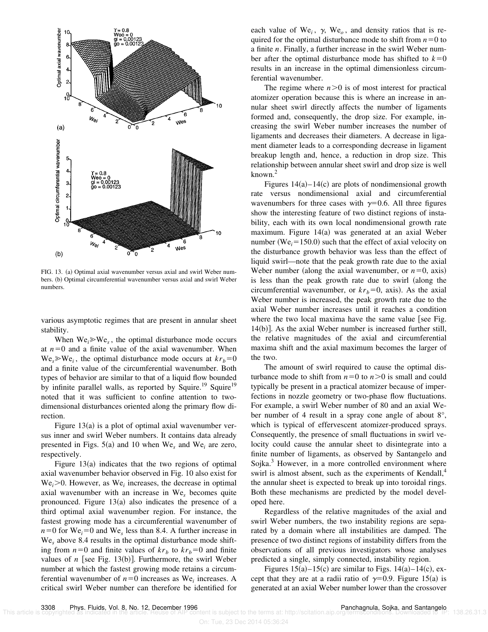

FIG. 13. (a) Optimal axial wavenumber versus axial and swirl Weber numbers. (b) Optimal circumferential wavenumber versus axial and swirl Weber numbers.

various asymptotic regimes that are present in annular sheet stability.

When  $We_i \gg We_s$ , the optimal disturbance mode occurs at  $n=0$  and a finite value of the axial wavenumber. When  $We_s \geq We_i$ , the optimal disturbance mode occurs at  $kr_b = 0$ and a finite value of the circumferential wavenumber. Both types of behavior are similar to that of a liquid flow bounded by infinite parallel walls, as reported by Squire.<sup>19</sup> Squire<sup>19</sup> noted that it was sufficient to confine attention to twodimensional disturbances oriented along the primary flow direction.

Figure  $13(a)$  is a plot of optimal axial wavenumber versus inner and swirl Weber numbers. It contains data already presented in Figs.  $5(a)$  and 10 when We<sub>s</sub> and We<sub>i</sub> are zero, respectively.

Figure  $13(a)$  indicates that the two regions of optimal axial wavenumber behavior observed in Fig. 10 also exist for  $We<sub>i</sub> > 0$ . However, as  $We<sub>i</sub>$  increases, the decrease in optimal axial wavenumber with an increase in We*<sup>s</sup>* becomes quite pronounced. Figure  $13(a)$  also indicates the presence of a third optimal axial wavenumber region. For instance, the fastest growing mode has a circumferential wavenumber of  $n=0$  for  $We_i=0$  and  $We_s$  less than 8.4. A further increase in We*<sup>s</sup>* above 8.4 results in the optimal disturbance mode shifting from  $n=0$  and finite values of  $kr_b$  to  $kr_b=0$  and finite values of  $n$  [see Fig. 13(b)]. Furthermore, the swirl Weber number at which the fastest growing mode retains a circumferential wavenumber of  $n=0$  increases as We<sub>i</sub> increases. A critical swirl Weber number can therefore be identified for

each value of  $We_i$ ,  $\gamma$ ,  $We_o$ , and density ratios that is required for the optimal disturbance mode to shift from  $n=0$  to a finite *n*. Finally, a further increase in the swirl Weber number after the optimal disturbance mode has shifted to  $k=0$ results in an increase in the optimal dimensionless circumferential wavenumber.

The regime where  $n>0$  is of most interest for practical atomizer operation because this is where an increase in annular sheet swirl directly affects the number of ligaments formed and, consequently, the drop size. For example, increasing the swirl Weber number increases the number of ligaments and decreases their diameters. A decrease in ligament diameter leads to a corresponding decrease in ligament breakup length and, hence, a reduction in drop size. This relationship between annular sheet swirl and drop size is well known. $<sup>2</sup>$ </sup>

Figures  $14(a) - 14(c)$  are plots of nondimensional growth rate versus nondimensional axial and circumferential wavenumbers for three cases with  $\gamma=0.6$ . All three figures show the interesting feature of two distinct regions of instability, each with its own local nondimensional growth rate maximum. Figure  $14(a)$  was generated at an axial Weber number (We<sub>i</sub>=150.0) such that the effect of axial velocity on the disturbance growth behavior was less than the effect of liquid swirl—note that the peak growth rate due to the axial Weber number (along the axial wavenumber, or  $n=0$ , axis) is less than the peak growth rate due to swirl (along the circumferential wavenumber, or  $kr_b=0$ , axis). As the axial Weber number is increased, the peak growth rate due to the axial Weber number increases until it reaches a condition where the two local maxima have the same value [see Fig.  $14(b)$ ]. As the axial Weber number is increased further still, the relative magnitudes of the axial and circumferential maxima shift and the axial maximum becomes the larger of the two.

The amount of swirl required to cause the optimal disturbance mode to shift from  $n=0$  to  $n>0$  is small and could typically be present in a practical atomizer because of imperfections in nozzle geometry or two-phase flow fluctuations. For example, a swirl Weber number of 80 and an axial Weber number of 4 result in a spray cone angle of about 8°, which is typical of effervescent atomizer-produced sprays. Consequently, the presence of small fluctuations in swirl velocity could cause the annular sheet to disintegrate into a finite number of ligaments, as observed by Santangelo and Sojka.<sup>3</sup> However, in a more controlled environment where swirl is almost absent, such as the experiments of Kendall,<sup>4</sup> the annular sheet is expected to break up into toroidal rings. Both these mechanisms are predicted by the model developed here.

Regardless of the relative magnitudes of the axial and swirl Weber numbers, the two instability regions are separated by a domain where all instabilities are damped. The presence of two distinct regions of instability differs from the observations of all previous investigators whose analyses predicted a single, simply connected, instability region.

Figures  $15(a)$ –15 $(c)$  are similar to Figs. 14 $(a)$ –14 $(c)$ , except that they are at a radii ratio of  $\gamma=0.9$ . Figure 15(a) is generated at an axial Weber number lower than the crossover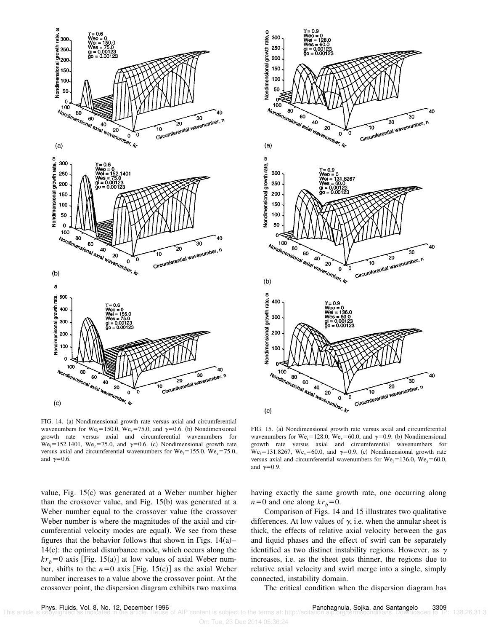

FIG. 14. (a) Nondimensional growth rate versus axial and circumferential wavenumbers for We<sub>i</sub>=150.0, We<sub>s</sub>=75.0, and  $\gamma$ =0.6. (b) Nondimensional growth rate versus axial and circumferential wavenumbers for  $We<sub>i</sub>=152.1401$ ,  $We<sub>s</sub>=75.0$ , and  $\gamma=0.6$ . (c) Nondimensional growth rate versus axial and circumferential wavenumbers for  $We_i = 155.0$ ,  $We_s = 75.0$ , and  $\gamma=0.6$ .

value, Fig.  $15(c)$  was generated at a Weber number higher than the crossover value, and Fig.  $15(b)$  was generated at a Weber number equal to the crossover value (the crossover Weber number is where the magnitudes of the axial and circumferential velocity modes are equal). We see from these figures that the behavior follows that shown in Figs.  $14(a)$ –  $14(c)$ : the optimal disturbance mode, which occurs along the  $kr_b=0$  axis [Fig. 15(a)] at low values of axial Weber number, shifts to the  $n=0$  axis [Fig. 15(c)] as the axial Weber number increases to a value above the crossover point. At the crossover point, the dispersion diagram exhibits two maxima



FIG. 15. (a) Nondimensional growth rate versus axial and circumferential wavenumbers for We<sub>i</sub>=128.0, We<sub>s</sub>=60.0, and  $\gamma$ =0.9. (b) Nondimensional growth rate versus axial and circumferential wavenumbers for  $We_i=131.8267$ ,  $We_s=60.0$ , and  $\gamma=0.9$ . (c) Nondimensional growth rate versus axial and circumferential wavenumbers for  $We_i = 136.0$ ,  $We_s = 60.0$ , and  $\gamma=0.9$ .

having exactly the same growth rate, one occurring along  $n=0$  and one along  $kr_b=0$ .

Comparison of Figs. 14 and 15 illustrates two qualitative differences. At low values of  $\gamma$ , i.e. when the annular sheet is thick, the effects of relative axial velocity between the gas and liquid phases and the effect of swirl can be separately identified as two distinct instability regions. However, as  $\gamma$ increases, i.e. as the sheet gets thinner, the regions due to relative axial velocity and swirl merge into a single, simply connected, instability domain.

The critical condition when the dispersion diagram has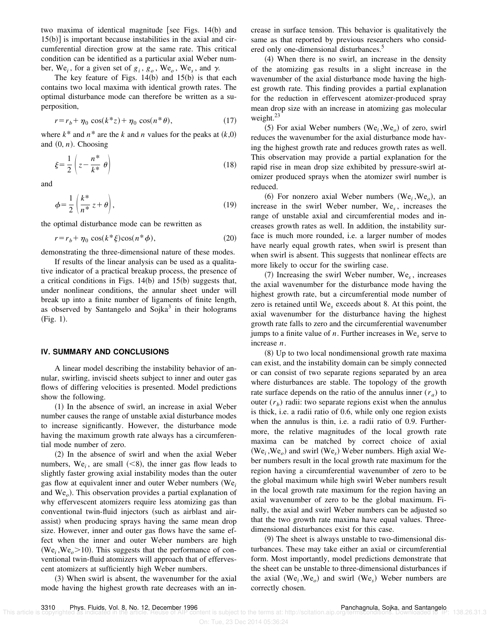two maxima of identical magnitude [see Figs.  $14(b)$  and  $15(b)$  is important because instabilities in the axial and circumferential direction grow at the same rate. This critical condition can be identified as a particular axial Weber number, We<sub>*i*</sub>, for a given set of  $g_i$ ,  $g_o$ , We<sub>*o*</sub>, We<sub>*s*</sub>, and  $\gamma$ .

The key feature of Figs.  $14(b)$  and  $15(b)$  is that each contains two local maxima with identical growth rates. The optimal disturbance mode can therefore be written as a superposition,

$$
r = r_b + \eta_0 \cos(k^*z) + \eta_0 \cos(n^*\theta), \qquad (17)
$$

where  $k^*$  and  $n^*$  are the *k* and *n* values for the peaks at  $(k,0)$ and  $(0, n)$ . Choosing

$$
\xi = \frac{1}{2} \left( z - \frac{n^*}{k^*} \theta \right) \tag{18}
$$

and

$$
\phi = \frac{1}{2} \left( \frac{k^*}{n^*} z + \theta \right),\tag{19}
$$

the optimal disturbance mode can be rewritten as

$$
r = r_b + \eta_0 \cos(k^* \xi) \cos(n^* \phi), \tag{20}
$$

demonstrating the three-dimensional nature of these modes.

If results of the linear analysis can be used as a qualitative indicator of a practical breakup process, the presence of a critical conditions in Figs.  $14(b)$  and  $15(b)$  suggests that, under nonlinear conditions, the annular sheet under will break up into a finite number of ligaments of finite length, as observed by Santangelo and Sojka $3$  in their holograms  $(Fig. 1).$ 

#### **IV. SUMMARY AND CONCLUSIONS**

A linear model describing the instability behavior of annular, swirling, inviscid sheets subject to inner and outer gas flows of differing velocities is presented. Model predictions show the following.

 $(1)$  In the absence of swirl, an increase in axial Weber number causes the range of unstable axial disturbance modes to increase significantly. However, the disturbance mode having the maximum growth rate always has a circumferential mode number of zero.

 $(2)$  In the absence of swirl and when the axial Weber numbers,  $We_i$ , are small  $(< 8$ ), the inner gas flow leads to slightly faster growing axial instability modes than the outer gas flow at equivalent inner and outer Weber numbers  $(We_i)$ and We<sub>o</sub>). This observation provides a partial explanation of why effervescent atomizers require less atomizing gas than conventional twin-fluid injectors (such as airblast and airassist) when producing sprays having the same mean drop size. However, inner and outer gas flows have the same effect when the inner and outer Weber numbers are high  $(We<sub>i</sub>,We<sub>o</sub> > 10)$ . This suggests that the performance of conventional twin-fluid atomizers will approach that of effervescent atomizers at sufficiently high Weber numbers.

 $(3)$  When swirl is absent, the wavenumber for the axial mode having the highest growth rate decreases with an increase in surface tension. This behavior is qualitatively the same as that reported by previous researchers who considered only one-dimensional disturbances.<sup>5</sup>

 $(4)$  When there is no swirl, an increase in the density of the atomizing gas results in a slight increase in the wavenumber of the axial disturbance mode having the highest growth rate. This finding provides a partial explanation for the reduction in effervescent atomizer-produced spray mean drop size with an increase in atomizing gas molecular weight. $^{23}$ 

 $(5)$  For axial Weber numbers  $(We<sub>i</sub>,We<sub>o</sub>)$  of zero, swirl reduces the wavenumber for the axial disturbance mode having the highest growth rate and reduces growth rates as well. This observation may provide a partial explanation for the rapid rise in mean drop size exhibited by pressure-swirl atomizer produced sprays when the atomizer swirl number is reduced.

(6) For nonzero axial Weber numbers  $(We_i, We_o)$ , an increase in the swirl Weber number, We*<sup>s</sup>* , increases the range of unstable axial and circumferential modes and increases growth rates as well. In addition, the instability surface is much more rounded, i.e. a larger number of modes have nearly equal growth rates, when swirl is present than when swirl is absent. This suggests that nonlinear effects are more likely to occur for the swirling case.

 $(7)$  Increasing the swirl Weber number, We<sub>s</sub>, increases the axial wavenumber for the disturbance mode having the highest growth rate, but a circumferential mode number of zero is retained until We*<sup>s</sup>* exceeds about 8. At this point, the axial wavenumber for the disturbance having the highest growth rate falls to zero and the circumferential wavenumber jumps to a finite value of *n*. Further increases in We*<sup>s</sup>* serve to increase *n*.

(8) Up to two local nondimensional growth rate maxima can exist, and the instability domain can be simply connected or can consist of two separate regions separated by an area where disturbances are stable. The topology of the growth rate surface depends on the ratio of the annulus inner  $(r_a)$  to outer  $(r_b)$  radii: two separate regions exist when the annulus is thick, i.e. a radii ratio of 0.6, while only one region exists when the annulus is thin, i.e. a radii ratio of 0.9. Furthermore, the relative magnitudes of the local growth rate maxima can be matched by correct choice of axial  $(We<sub>i</sub>,We<sub>o</sub>)$  and swirl  $(We<sub>s</sub>)$  Weber numbers. High axial Weber numbers result in the local growth rate maximum for the region having a circumferential wavenumber of zero to be the global maximum while high swirl Weber numbers result in the local growth rate maximum for the region having an axial wavenumber of zero to be the global maximum. Finally, the axial and swirl Weber numbers can be adjusted so that the two growth rate maxima have equal values. Threedimensional disturbances exist for this case.

 $(9)$  The sheet is always unstable to two-dimensional disturbances. These may take either an axial or circumferential form. Most importantly, model predictions demonstrate that the sheet can be unstable to three-dimensional disturbances if the axial  $(We_i, We_o)$  and swirl  $(We_s)$  Weber numbers are correctly chosen.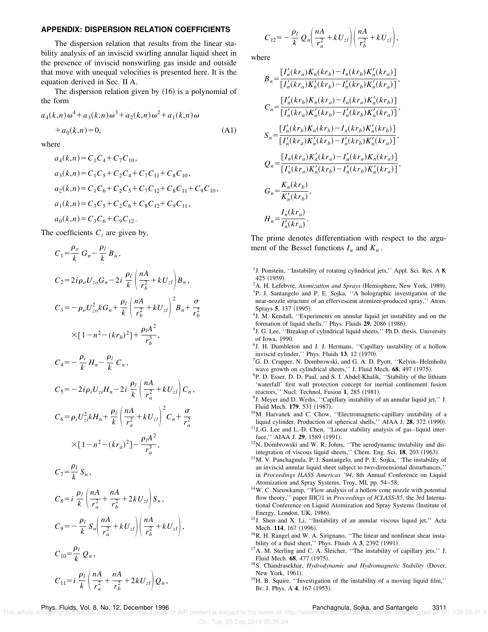### **APPENDIX: DISPERSION RELATION COEFFICIENTS**

The dispersion relation that results from the linear stability analysis of an inviscid swirling annular liquid sheet in the presence of inviscid nonswirling gas inside and outside that move with unequal velocities is presented here. It is the equation derived in Sec. II A.

The dispersion relation given by  $(16)$  is a polynomial of the form

$$
a_4(k,n)\omega^4 + a_3(k,n)\omega^3 + a_2(k,n)\omega^2 + a_1(k,n)\omega
$$
  
+ $a_0(k,n) = 0,$  (A1)

where

$$
a_4(k,n) = C_1C_4 + C_7C_{10},
$$
  
\n
$$
a_3(k,n) = C_1C_5 + C_2C_4 + C_7C_{11} + C_8C_{10},
$$
  
\n
$$
a_2(k,n) = C_1C_6 + C_2C_5 + C_7C_{12} + C_8C_{11} + C_9C_{10},
$$
  
\n
$$
a_1(k,n) = C_3C_5 + C_2C_6 + C_8C_{12} + C_9C_{11},
$$
  
\n
$$
a_0(k,n) = C_3C_6 + C_9C_{12}.
$$

The coefficients  $C_i$  are given by,

$$
C_1 = \frac{\rho_o}{k} G_n - \frac{\rho_l}{k} B_n,
$$
  
\n
$$
C_2 = 2i \rho_o U_{zo} G_n - 2i \frac{\rho_l}{k} \left( \frac{nA}{r_b^2} + kU_{z l} \right) B_n,
$$
  
\n
$$
C_3 = -\rho_o U_{zo}^2 k G_n + \frac{\rho_l}{k} \left( \frac{nA}{r_b^2} + kU_{z l} \right)^2 B_n + \frac{\sigma}{r_b^2}
$$
  
\n
$$
\times [1 - n^2 - (kr_b)^2] + \frac{\rho_l A^2}{r_b^3},
$$

$$
C_4 = -\frac{\rho_i}{k} H_n - \frac{\rho_l}{k} C_n,
$$
  

$$
C_5 = -2i\rho_i U_{zi} H_n - 2i \frac{\rho_l}{k} \left( \frac{nA}{r_a^2} + k \right)
$$

$$
C_5 = -2i\rho_i U_{zi} H_n - 2i \frac{\rho_l}{k} \left( \frac{nA}{r_a^2} + kU_{z_l} \right) C_n,
$$
  
\n
$$
C_6 = \rho_i U_{zi}^2 k H_n + \frac{\rho_l}{k} \left( \frac{nA}{r_a^2} + kU_{z_l} \right)^2 C_n + \frac{\sigma}{r_a^2}
$$
  
\n
$$
\times [1 - n^2 - (kr_a)^2] - \frac{\rho_l A^2}{r_a^2},
$$

$$
C_7 = \frac{\rho_l}{k} S_n,
$$
  
\n
$$
C_8 = i \frac{\rho_l}{k} \left( \frac{nA}{r_a^2} + \frac{nA}{r_b^2} + 2kU_{zl} \right) S_n,
$$
  
\n
$$
C_9 = -\frac{\rho_l}{k} S_n \left( \frac{nA}{r_a^2} + kU_{zl} \right) \left( \frac{nA}{r_b^2} + kU_{zl} \right),
$$
  
\n
$$
C_{10} = \frac{\rho_l}{k} Q_n,
$$

$$
C_{11}=i\ \frac{\rho_l}{k}\left(\frac{nA}{r_a^2}+\frac{nA}{r_b^2}+2kU_{zl}\right)Q_n,
$$

$$
C_{12} = -\frac{\rho_l}{k} Q_n \left( \frac{nA}{r_a^2} + kU_{zl} \right) \left( \frac{nA}{r_b^2} + kU_{zl} \right),
$$

where

$$
B_{n} = \frac{[I'_{n}(kr_{a})K_{n}(kr_{b}) - I_{n}(kr_{b})K'_{n}(kr_{a})]}{[I'_{n}(kr_{a})K'_{n}(kr_{b}) - I'_{n}(kr_{b})K'_{n}(kr_{a})]},
$$
  
\n
$$
C_{n} = \frac{[I'_{n}(kr_{b})K_{n}(kr_{a}) - I_{n}(kr_{a})K'_{n}(kr_{b})]}{[I'_{n}(kr_{a})K'_{n}(kr_{b}) - I'_{n}(kr_{b})K'_{n}(kr_{a})]},
$$
  
\n
$$
S_{n} = \frac{[I'_{n}(kr_{b})K_{n}(kr_{b}) - I_{n}(kr_{b})K'_{n}(kr_{b})]}{[I'_{n}(kr_{a})K'_{n}(kr_{b}) - I'_{n}(kr_{b})K'_{n}(kr_{a})]},
$$
  
\n
$$
Q_{n} = \frac{[I_{n}(kr_{a})K'_{n}(kr_{a}) - I'_{n}(kr_{a})K'_{n}(kr_{a})]}{[I'_{n}(kr_{a})K'_{n}(kr_{b}) - I'_{n}(kr_{b})K'_{n}(kr_{a})]},
$$
  
\n
$$
G_{n} = \frac{K_{n}(kr_{b})}{K'_{n}(kr_{b})},
$$
  
\n
$$
H_{n} = \frac{I_{n}(kr_{a})}{I'_{n}(kr_{a})}.
$$

The prime denotes differentiation with respect to the argument of the Bessel functions  $I_n$  and  $K_n$ .

- <sup>1</sup>J. Ponstein, "Instability of rotating cylindrical jets," Appl. Sci. Res. A 8, 425 (1959).
- <sup>2</sup>A. H. Lefebvre, *Atomization and Sprays* (Hemisphere, New York, 1989). <sup>3</sup>P. J. Santangelo and P. E. Sojka, "A holographic investigation of the near-nozzle structure of an effervescent atomizer-produced spray,'' Atom. Sprays 5, 137 (1995).
- <sup>4</sup>J. M. Kendall, "Experiments on annular liquid jet instability and on the formation of liquid shells," Phys. Fluids 29, 2086 (1986).
- <sup>5</sup>J. G. Lee, "Breakup of cylindrical liquid sheets," Ph.D. thesis, University of Iowa, 1990.
- <sup>6</sup>J. H. Dumbleton and J. J. Hermans, "Capillary instability of a hollow inviscid cylinder," Phys. Fluids 13, 12 (1970).
- <sup>7</sup>G. D. Crapper, N. Dombrowski, and G. A. D. Pyott, "Kelvin–Helmholtz wave growth on cylindrical sheets," J. Fluid Mech. **68**, 497 (1975).
- <sup>8</sup>P. D. Esser, D. D. Paul, and S. I. Abdel-Khalik, "Stability of the lithium 'waterfall' first wall protection concept for inertial confinement fusion reactors," Nucl. Technol. Fusion 1, 285 (1981).
- <sup>9</sup>J. Meyer and D. Weihs, "Capillary instability of an annular liquid jet," J. Fluid Mech. 179, 531 (1987).
- <sup>10</sup>M. Harvanek and C. Chow, ''Electromagnetic-capillary instability of a liquid cylinder. Production of spherical shells," AIAA J. 28, 372 (1990).
- <sup>11</sup>J.-G. Lee and L.-D. Chen, "Linear stability analysis of gas-liquid interface," AIAA J. 29, 1589 (1991).
- <sup>12</sup>N. Dombrowski and W. R. Johns, "The aerodynamic instability and disintegration of viscous liquid sheets," Chem. Eng. Sci. 18, 203 (1963).
- <sup>13</sup>M. V. Panchagnula, P. J. Santangelo, and P. E. Sojka, "The instability of an inviscid annular liquid sheet subject to two-dimensional disturbances,'' in *Proceedings ILASS Americas '94*, 8th Annual Conference on Liquid Atomization and Spray Systems, Troy, MI, pp. 54–58.
- <sup>14</sup>W. C. Nieuwkamp, ''Flow analysis of a hollow cone nozzle with potential flow theory,'' paper IIIC/1 in *Proceedings of ICLASS-85*, the 3rd International Conference on Liquid Atomization and Spray Systems (Institute of Energy, London, UK, 1986).
- <sup>15</sup>J. Shen and X. Li, ''Instability of an annular viscous liquid jet,'' Acta Mech. 114, 167 (1996).
- <sup>16</sup>R. H. Rangel and W. A. Sirignano, "The linear and nonlinear shear instability of a fluid sheet," Phys. Fluids A 3, 2392 (1991).
- <sup>17</sup>A. M. Sterling and C. A. Sleicher, ''The instability of capillary jets,'' J. Fluid Mech. 68, 477 (1975).
- <sup>18</sup>S. Chandrasekhar, *Hydrodynamic and Hydromagnetic Stability* (Dover, New York, 1961).
- <sup>19</sup>H. B. Squire, "Investigation of the instability of a moving liquid film," Br. J. Phys. A 4, 167 (1953).